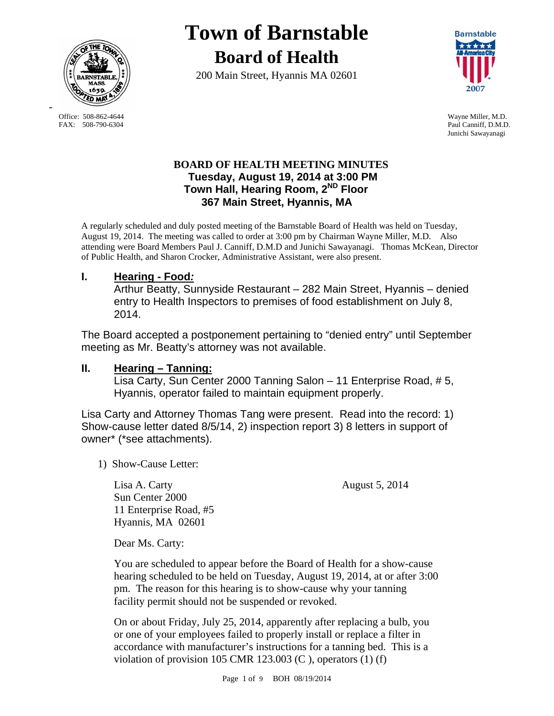

FAX: 508-790-6304 Paul Canniff, D.M.D.

-

# **Town of Barnstable Board of Health**

200 Main Street, Hyannis MA 02601



 Office: 508-862-4644 Wayne Miller, M.D. Junichi Sawayanagi

## **BOARD OF HEALTH MEETING MINUTES Tuesday, August 19, 2014 at 3:00 PM Town Hall, Hearing Room, 2ND Floor 367 Main Street, Hyannis, MA**

A regularly scheduled and duly posted meeting of the Barnstable Board of Health was held on Tuesday, August 19, 2014. The meeting was called to order at 3:00 pm by Chairman Wayne Miller, M.D. Also attending were Board Members Paul J. Canniff, D.M.D and Junichi Sawayanagi. Thomas McKean, Director of Public Health, and Sharon Crocker, Administrative Assistant, were also present.

# **I. Hearing - Food***:*

Arthur Beatty, Sunnyside Restaurant – 282 Main Street, Hyannis – denied entry to Health Inspectors to premises of food establishment on July 8, 2014.

The Board accepted a postponement pertaining to "denied entry" until September meeting as Mr. Beatty's attorney was not available.

# **II. Hearing – Tanning:**

Lisa Carty, Sun Center 2000 Tanning Salon – 11 Enterprise Road, # 5, Hyannis, operator failed to maintain equipment properly.

Lisa Carty and Attorney Thomas Tang were present. Read into the record: 1) Show-cause letter dated 8/5/14, 2) inspection report 3) 8 letters in support of owner\* (\*see attachments).

1) Show-Cause Letter:

Lisa A. Carty August 5, 2014 Sun Center 2000 11 Enterprise Road, #5 Hyannis, MA 02601

Dear Ms. Carty:

You are scheduled to appear before the Board of Health for a show-cause hearing scheduled to be held on Tuesday, August 19, 2014, at or after 3:00 pm. The reason for this hearing is to show-cause why your tanning facility permit should not be suspended or revoked.

On or about Friday, July 25, 2014, apparently after replacing a bulb, you or one of your employees failed to properly install or replace a filter in accordance with manufacturer's instructions for a tanning bed. This is a violation of provision 105 CMR 123.003 (C), operators  $(1)$  (f)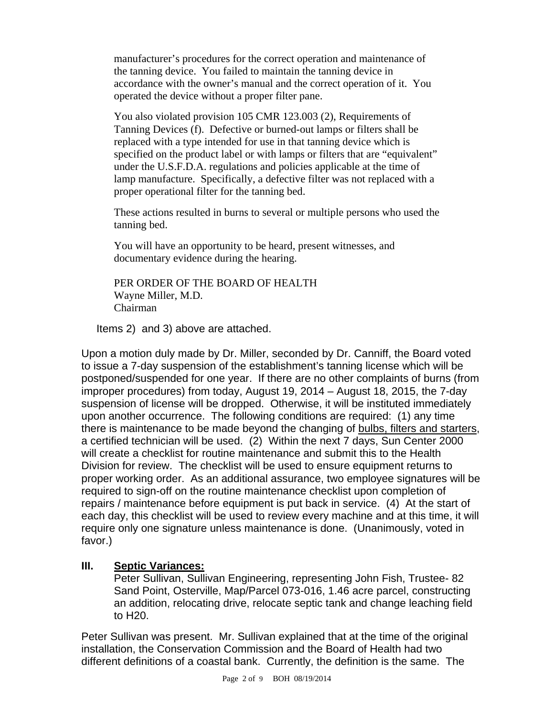manufacturer's procedures for the correct operation and maintenance of the tanning device. You failed to maintain the tanning device in accordance with the owner's manual and the correct operation of it. You operated the device without a proper filter pane.

You also violated provision 105 CMR 123.003 (2), Requirements of Tanning Devices (f). Defective or burned-out lamps or filters shall be replaced with a type intended for use in that tanning device which is specified on the product label or with lamps or filters that are "equivalent" under the U.S.F.D.A. regulations and policies applicable at the time of lamp manufacture. Specifically, a defective filter was not replaced with a proper operational filter for the tanning bed.

These actions resulted in burns to several or multiple persons who used the tanning bed.

You will have an opportunity to be heard, present witnesses, and documentary evidence during the hearing.

PER ORDER OF THE BOARD OF HEALTH Wayne Miller, M.D. Chairman

Items 2) and 3) above are attached.

Upon a motion duly made by Dr. Miller, seconded by Dr. Canniff, the Board voted to issue a 7-day suspension of the establishment's tanning license which will be postponed/suspended for one year. If there are no other complaints of burns (from improper procedures) from today, August 19, 2014 – August 18, 2015, the 7-day suspension of license will be dropped. Otherwise, it will be instituted immediately upon another occurrence. The following conditions are required: (1) any time there is maintenance to be made beyond the changing of bulbs, filters and starters, a certified technician will be used. (2) Within the next 7 days, Sun Center 2000 will create a checklist for routine maintenance and submit this to the Health Division for review. The checklist will be used to ensure equipment returns to proper working order. As an additional assurance, two employee signatures will be required to sign-off on the routine maintenance checklist upon completion of repairs / maintenance before equipment is put back in service. (4) At the start of each day, this checklist will be used to review every machine and at this time, it will require only one signature unless maintenance is done. (Unanimously, voted in favor.)

## **III. Septic Variances:**

Peter Sullivan, Sullivan Engineering, representing John Fish, Trustee- 82 Sand Point, Osterville, Map/Parcel 073-016, 1.46 acre parcel, constructing an addition, relocating drive, relocate septic tank and change leaching field to H20.

Peter Sullivan was present. Mr. Sullivan explained that at the time of the original installation, the Conservation Commission and the Board of Health had two different definitions of a coastal bank. Currently, the definition is the same. The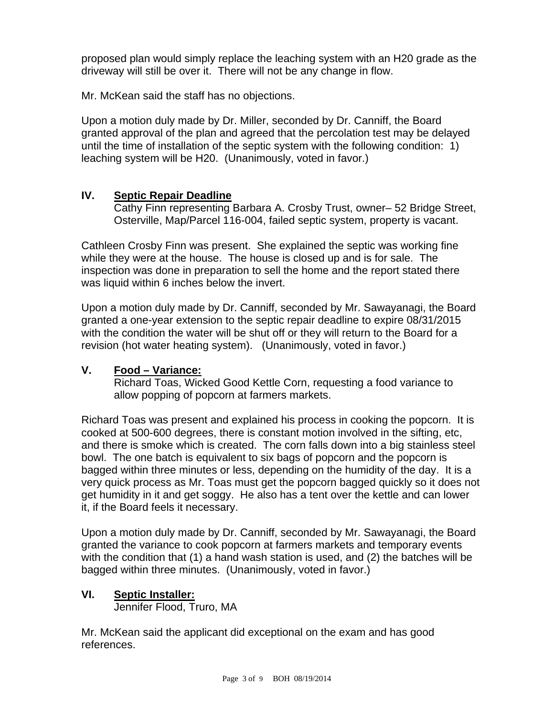proposed plan would simply replace the leaching system with an H20 grade as the driveway will still be over it. There will not be any change in flow.

Mr. McKean said the staff has no objections.

Upon a motion duly made by Dr. Miller, seconded by Dr. Canniff, the Board granted approval of the plan and agreed that the percolation test may be delayed until the time of installation of the septic system with the following condition: 1) leaching system will be H20. (Unanimously, voted in favor.)

## **IV. Septic Repair Deadline**

Cathy Finn representing Barbara A. Crosby Trust, owner– 52 Bridge Street, Osterville, Map/Parcel 116-004, failed septic system, property is vacant.

Cathleen Crosby Finn was present. She explained the septic was working fine while they were at the house. The house is closed up and is for sale. The inspection was done in preparation to sell the home and the report stated there was liquid within 6 inches below the invert.

Upon a motion duly made by Dr. Canniff, seconded by Mr. Sawayanagi, the Board granted a one-year extension to the septic repair deadline to expire 08/31/2015 with the condition the water will be shut off or they will return to the Board for a revision (hot water heating system). (Unanimously, voted in favor.)

## **V. Food – Variance:**

Richard Toas, Wicked Good Kettle Corn, requesting a food variance to allow popping of popcorn at farmers markets.

Richard Toas was present and explained his process in cooking the popcorn. It is cooked at 500-600 degrees, there is constant motion involved in the sifting, etc, and there is smoke which is created. The corn falls down into a big stainless steel bowl. The one batch is equivalent to six bags of popcorn and the popcorn is bagged within three minutes or less, depending on the humidity of the day. It is a very quick process as Mr. Toas must get the popcorn bagged quickly so it does not get humidity in it and get soggy. He also has a tent over the kettle and can lower it, if the Board feels it necessary.

Upon a motion duly made by Dr. Canniff, seconded by Mr. Sawayanagi, the Board granted the variance to cook popcorn at farmers markets and temporary events with the condition that (1) a hand wash station is used, and (2) the batches will be bagged within three minutes. (Unanimously, voted in favor.)

## **VI. Septic Installer:**

Jennifer Flood, Truro, MA

Mr. McKean said the applicant did exceptional on the exam and has good references.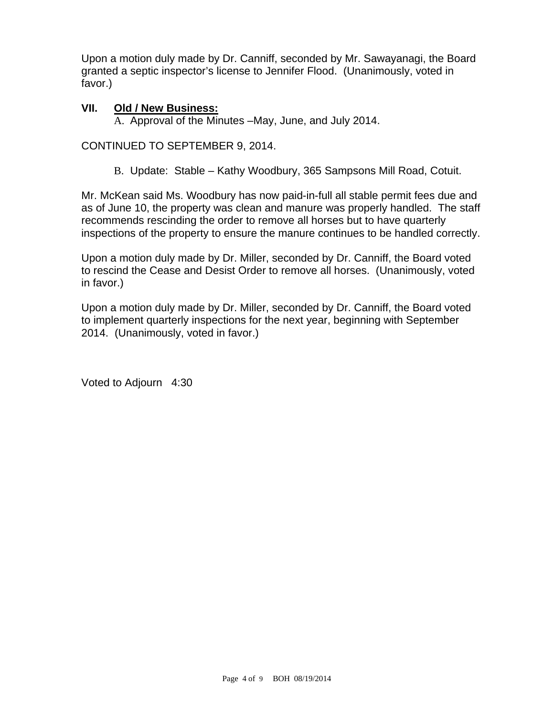Upon a motion duly made by Dr. Canniff, seconded by Mr. Sawayanagi, the Board granted a septic inspector's license to Jennifer Flood. (Unanimously, voted in favor.)

## **VII. Old / New Business:**

A. Approval of the Minutes –May, June, and July 2014.

CONTINUED TO SEPTEMBER 9, 2014.

B. Update: Stable – Kathy Woodbury, 365 Sampsons Mill Road, Cotuit.

Mr. McKean said Ms. Woodbury has now paid-in-full all stable permit fees due and as of June 10, the property was clean and manure was properly handled. The staff recommends rescinding the order to remove all horses but to have quarterly inspections of the property to ensure the manure continues to be handled correctly.

Upon a motion duly made by Dr. Miller, seconded by Dr. Canniff, the Board voted to rescind the Cease and Desist Order to remove all horses. (Unanimously, voted in favor.)

Upon a motion duly made by Dr. Miller, seconded by Dr. Canniff, the Board voted to implement quarterly inspections for the next year, beginning with September 2014. (Unanimously, voted in favor.)

Voted to Adjourn 4:30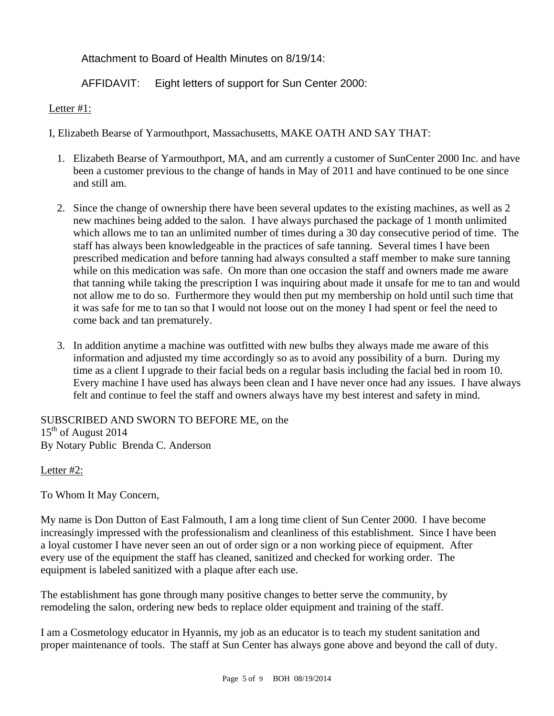Attachment to Board of Health Minutes on 8/19/14:

AFFIDAVIT: Eight letters of support for Sun Center 2000:

Letter #1:

I, Elizabeth Bearse of Yarmouthport, Massachusetts, MAKE OATH AND SAY THAT:

- 1. Elizabeth Bearse of Yarmouthport, MA, and am currently a customer of SunCenter 2000 Inc. and have been a customer previous to the change of hands in May of 2011 and have continued to be one since and still am.
- 2. Since the change of ownership there have been several updates to the existing machines, as well as 2 new machines being added to the salon. I have always purchased the package of 1 month unlimited which allows me to tan an unlimited number of times during a 30 day consecutive period of time. The staff has always been knowledgeable in the practices of safe tanning. Several times I have been prescribed medication and before tanning had always consulted a staff member to make sure tanning while on this medication was safe. On more than one occasion the staff and owners made me aware that tanning while taking the prescription I was inquiring about made it unsafe for me to tan and would not allow me to do so. Furthermore they would then put my membership on hold until such time that it was safe for me to tan so that I would not loose out on the money I had spent or feel the need to come back and tan prematurely.
- 3. In addition anytime a machine was outfitted with new bulbs they always made me aware of this information and adjusted my time accordingly so as to avoid any possibility of a burn. During my time as a client I upgrade to their facial beds on a regular basis including the facial bed in room 10. Every machine I have used has always been clean and I have never once had any issues. I have always felt and continue to feel the staff and owners always have my best interest and safety in mind.

SUBSCRIBED AND SWORN TO BEFORE ME, on the  $15<sup>th</sup>$  of August 2014 By Notary Public Brenda C. Anderson

## Letter #2:

To Whom It May Concern,

My name is Don Dutton of East Falmouth, I am a long time client of Sun Center 2000. I have become increasingly impressed with the professionalism and cleanliness of this establishment. Since I have been a loyal customer I have never seen an out of order sign or a non working piece of equipment. After every use of the equipment the staff has cleaned, sanitized and checked for working order. The equipment is labeled sanitized with a plaque after each use.

The establishment has gone through many positive changes to better serve the community, by remodeling the salon, ordering new beds to replace older equipment and training of the staff.

I am a Cosmetology educator in Hyannis, my job as an educator is to teach my student sanitation and proper maintenance of tools. The staff at Sun Center has always gone above and beyond the call of duty.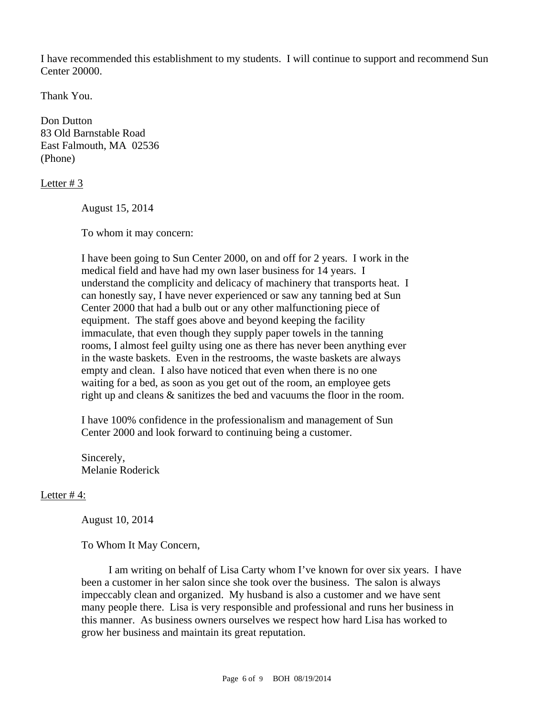I have recommended this establishment to my students. I will continue to support and recommend Sun Center 20000.

Thank You.

Don Dutton 83 Old Barnstable Road East Falmouth, MA 02536 (Phone)

Letter # 3

August 15, 2014

To whom it may concern:

I have been going to Sun Center 2000, on and off for 2 years. I work in the medical field and have had my own laser business for 14 years. I understand the complicity and delicacy of machinery that transports heat. I can honestly say, I have never experienced or saw any tanning bed at Sun Center 2000 that had a bulb out or any other malfunctioning piece of equipment. The staff goes above and beyond keeping the facility immaculate, that even though they supply paper towels in the tanning rooms, I almost feel guilty using one as there has never been anything ever in the waste baskets. Even in the restrooms, the waste baskets are always empty and clean. I also have noticed that even when there is no one waiting for a bed, as soon as you get out of the room, an employee gets right up and cleans & sanitizes the bed and vacuums the floor in the room.

I have 100% confidence in the professionalism and management of Sun Center 2000 and look forward to continuing being a customer.

Sincerely, Melanie Roderick

## Letter #4:

August 10, 2014

To Whom It May Concern,

 I am writing on behalf of Lisa Carty whom I've known for over six years. I have been a customer in her salon since she took over the business. The salon is always impeccably clean and organized. My husband is also a customer and we have sent many people there. Lisa is very responsible and professional and runs her business in this manner. As business owners ourselves we respect how hard Lisa has worked to grow her business and maintain its great reputation.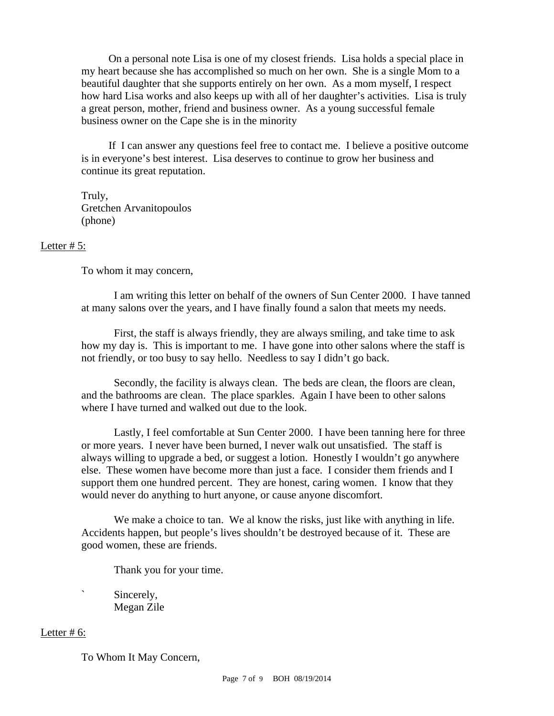On a personal note Lisa is one of my closest friends. Lisa holds a special place in my heart because she has accomplished so much on her own. She is a single Mom to a beautiful daughter that she supports entirely on her own. As a mom myself, I respect how hard Lisa works and also keeps up with all of her daughter's activities. Lisa is truly a great person, mother, friend and business owner. As a young successful female business owner on the Cape she is in the minority

 If I can answer any questions feel free to contact me. I believe a positive outcome is in everyone's best interest. Lisa deserves to continue to grow her business and continue its great reputation.

 Truly, Gretchen Arvanitopoulos (phone)

#### Letter  $# 5$ :

To whom it may concern,

 I am writing this letter on behalf of the owners of Sun Center 2000. I have tanned at many salons over the years, and I have finally found a salon that meets my needs.

 First, the staff is always friendly, they are always smiling, and take time to ask how my day is. This is important to me. I have gone into other salons where the staff is not friendly, or too busy to say hello. Needless to say I didn't go back.

 Secondly, the facility is always clean. The beds are clean, the floors are clean, and the bathrooms are clean. The place sparkles. Again I have been to other salons where I have turned and walked out due to the look.

 Lastly, I feel comfortable at Sun Center 2000. I have been tanning here for three or more years. I never have been burned, I never walk out unsatisfied. The staff is always willing to upgrade a bed, or suggest a lotion. Honestly I wouldn't go anywhere else. These women have become more than just a face. I consider them friends and I support them one hundred percent. They are honest, caring women. I know that they would never do anything to hurt anyone, or cause anyone discomfort.

We make a choice to tan. We al know the risks, just like with anything in life. Accidents happen, but people's lives shouldn't be destroyed because of it. These are good women, these are friends.

Thank you for your time.

Sincerely, Megan Zile

#### Letter  $# 6$ :

To Whom It May Concern,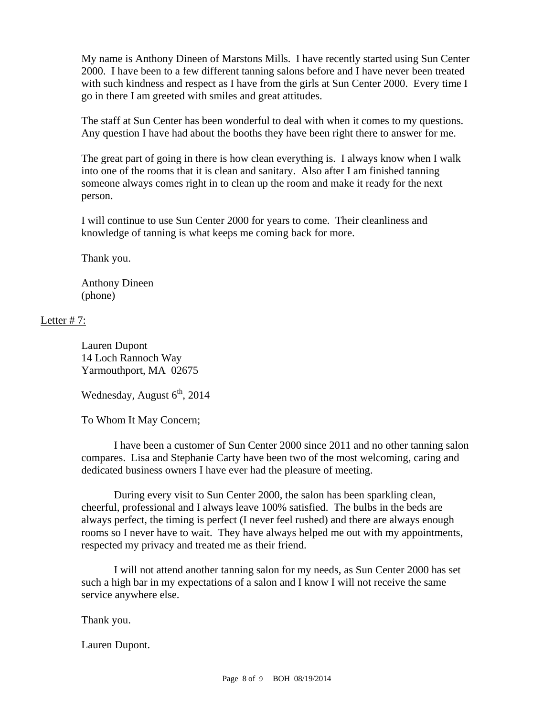My name is Anthony Dineen of Marstons Mills. I have recently started using Sun Center 2000. I have been to a few different tanning salons before and I have never been treated with such kindness and respect as I have from the girls at Sun Center 2000. Every time I go in there I am greeted with smiles and great attitudes.

 The staff at Sun Center has been wonderful to deal with when it comes to my questions. Any question I have had about the booths they have been right there to answer for me.

The great part of going in there is how clean everything is. I always know when I walk into one of the rooms that it is clean and sanitary. Also after I am finished tanning someone always comes right in to clean up the room and make it ready for the next person.

 I will continue to use Sun Center 2000 for years to come. Their cleanliness and knowledge of tanning is what keeps me coming back for more.

Thank you.

 Anthony Dineen (phone)

## Letter #7:

 Lauren Dupont 14 Loch Rannoch Way Yarmouthport, MA 02675

Wednesday, August  $6<sup>th</sup>$ , 2014

To Whom It May Concern;

 I have been a customer of Sun Center 2000 since 2011 and no other tanning salon compares. Lisa and Stephanie Carty have been two of the most welcoming, caring and dedicated business owners I have ever had the pleasure of meeting.

 During every visit to Sun Center 2000, the salon has been sparkling clean, cheerful, professional and I always leave 100% satisfied. The bulbs in the beds are always perfect, the timing is perfect (I never feel rushed) and there are always enough rooms so I never have to wait. They have always helped me out with my appointments, respected my privacy and treated me as their friend.

 I will not attend another tanning salon for my needs, as Sun Center 2000 has set such a high bar in my expectations of a salon and I know I will not receive the same service anywhere else.

Thank you.

Lauren Dupont.